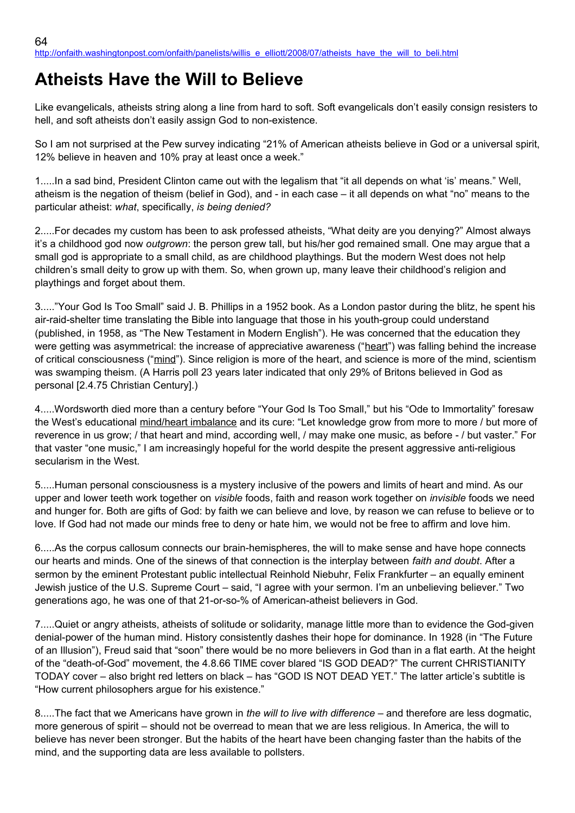## **Atheists Have the Will to Believe**

Like evangelicals, atheists string along a line from hard to soft. Soft evangelicals don't easily consign resisters to hell, and soft atheists don't easily assign God to non-existence.

So I am not surprised at the Pew survey indicating "21% of American atheists believe in God or a universal spirit, 12% believe in heaven and 10% pray at least once a week."

1.....In a sad bind, President Clinton came out with the legalism that "it all depends on what 'is' means." Well, atheism is the negation of theism (belief in God), and - in each case – it all depends on what "no" means to the particular atheist: *what*, specifically, *is being denied?*

2.....For decades my custom has been to ask professed atheists, "What deity are you denying?" Almost always it's a childhood god now *outgrown*: the person grew tall, but his/her god remained small. One may argue that a small god is appropriate to a small child, as are childhood playthings. But the modern West does not help children's small deity to grow up with them. So, when grown up, many leave their childhood's religion and playthings and forget about them.

3....."Your God Is Too Small" said J. B. Phillips in a 1952 book. As a London pastor during the blitz, he spent his air-raid-shelter time translating the Bible into language that those in his youth-group could understand (published, in 1958, as "The New Testament in Modern English"). He was concerned that the education they were getting was asymmetrical: the increase of appreciative awareness ("heart") was falling behind the increase of critical consciousness ("mind"). Since religion is more of the heart, and science is more of the mind, scientism was swamping theism. (A Harris poll 23 years later indicated that only 29% of Britons believed in God as personal [2.4.75 Christian Century].)

4.....Wordsworth died more than a century before "Your God Is Too Small," but his "Ode to Immortality" foresaw the West's educational mind/heart imbalance and its cure: "Let knowledge grow from more to more / but more of reverence in us grow; / that heart and mind, according well, / may make one music, as before - / but vaster." For that vaster "one music," I am increasingly hopeful for the world despite the present aggressive anti-religious secularism in the West.

5.....Human personal consciousness is a mystery inclusive of the powers and limits of heart and mind. As our upper and lower teeth work together on *visible* foods, faith and reason work together on *invisible* foods we need and hunger for. Both are gifts of God: by faith we can believe and love, by reason we can refuse to believe or to love. If God had not made our minds free to deny or hate him, we would not be free to affirm and love him.

6.....As the corpus callosum connects our brain-hemispheres, the will to make sense and have hope connects our hearts and minds. One of the sinews of that connection is the interplay between *faith and doubt*. After a sermon by the eminent Protestant public intellectual Reinhold Niebuhr, Felix Frankfurter – an equally eminent Jewish justice of the U.S. Supreme Court – said, "I agree with your sermon. I'm an unbelieving believer." Two generations ago, he was one of that 21-or-so-% of American-atheist believers in God.

7.....Quiet or angry atheists, atheists of solitude or solidarity, manage little more than to evidence the God-given denial-power of the human mind. History consistently dashes their hope for dominance. In 1928 (in "The Future of an Illusion"), Freud said that "soon" there would be no more believers in God than in a flat earth. At the height of the "death-of-God" movement, the 4.8.66 TIME cover blared "IS GOD DEAD?" The current CHRISTIANITY TODAY cover – also bright red letters on black – has "GOD IS NOT DEAD YET." The latter article's subtitle is "How current philosophers argue for his existence."

8.....The fact that we Americans have grown in *the will to live with difference* – and therefore are less dogmatic, more generous of spirit – should not be overread to mean that we are less religious. In America, the will to believe has never been stronger. But the habits of the heart have been changing faster than the habits of the mind, and the supporting data are less available to pollsters.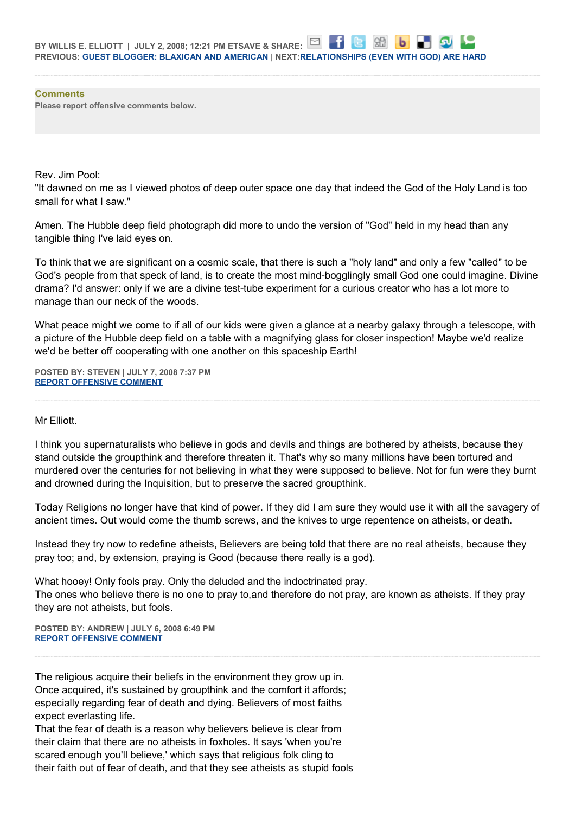**Comments Please report offensive comments below.**

Rev. Jim Pool:

"It dawned on me as I viewed photos of deep outer space one day that indeed the God of the Holy Land is too small for what I saw."

Amen. The Hubble deep field photograph did more to undo the version of "God" held in my head than any tangible thing I've laid eyes on.

To think that we are significant on a cosmic scale, that there is such a "holy land" and only a few "called" to be God's people from that speck of land, is to create the most mind-bogglingly small God one could imagine. Divine drama? I'd answer: only if we are a divine test-tube experiment for a curious creator who has a lot more to manage than our neck of the woods.

What peace might we come to if all of our kids were given a glance at a nearby galaxy through a telescope, with a picture of the Hubble deep field on a table with a magnifying glass for closer inspection! Maybe we'd realize we'd be better off cooperating with one another on this spaceship Earth!

**POSTED BY: STEVEN | JULY 7, 2008 7:37 PM [REPORT OFFENSIVE COMMENT](mailto:blogs@washingtonpost.com?subject=On%20Faith%20Panelists%20Blog%20%20%7C%20%20Steven%20%20%7C%20%20Atheists%20Have%20the%20Will%20to%20Believe%20%20%7C%20%204119852&body=%0D%0D%0D%0D%0D================%0D?__mode=view%26_type=comment%26id=4119852%26blog_id=618)**

## Mr Elliott.

I think you supernaturalists who believe in gods and devils and things are bothered by atheists, because they stand outside the groupthink and therefore threaten it. That's why so many millions have been tortured and murdered over the centuries for not believing in what they were supposed to believe. Not for fun were they burnt and drowned during the Inquisition, but to preserve the sacred groupthink.

Today Religions no longer have that kind of power. If they did I am sure they would use it with all the savagery of ancient times. Out would come the thumb screws, and the knives to urge repentence on atheists, or death.

Instead they try now to redefine atheists, Believers are being told that there are no real atheists, because they pray too; and, by extension, praying is Good (because there really is a god).

What hooey! Only fools pray. Only the deluded and the indoctrinated pray. The ones who believe there is no one to pray to,and therefore do not pray, are known as atheists. If they pray they are not atheists, but fools.

**POSTED BY: ANDREW | JULY 6, 2008 6:49 PM [REPORT OFFENSIVE COMMENT](mailto:blogs@washingtonpost.com?subject=On%20Faith%20Panelists%20Blog%20%20%7C%20%20andrew%20%20%7C%20%20Atheists%20Have%20the%20Will%20to%20Believe%20%20%7C%20%204106286&body=%0D%0D%0D%0D%0D================%0D?__mode=view%26_type=comment%26id=4106286%26blog_id=618)**

The religious acquire their beliefs in the environment they grow up in. Once acquired, it's sustained by groupthink and the comfort it affords; especially regarding fear of death and dying. Believers of most faiths expect everlasting life.

That the fear of death is a reason why believers believe is clear from their claim that there are no atheists in foxholes. It says 'when you're scared enough you'll believe,' which says that religious folk cling to their faith out of fear of death, and that they see atheists as stupid fools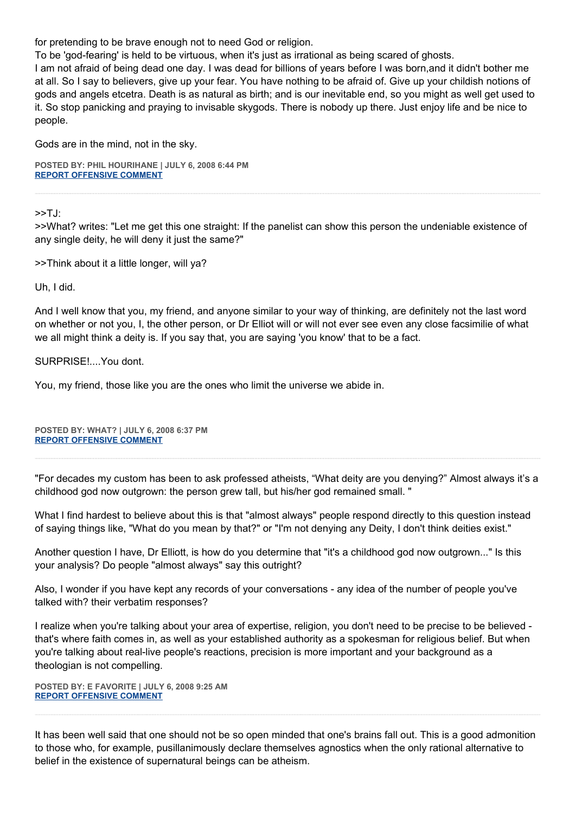for pretending to be brave enough not to need God or religion.

To be 'god-fearing' is held to be virtuous, when it's just as irrational as being scared of ghosts.

I am not afraid of being dead one day. I was dead for billions of years before I was born,and it didn't bother me at all. So I say to believers, give up your fear. You have nothing to be afraid of. Give up your childish notions of gods and angels etcetra. Death is as natural as birth; and is our inevitable end, so you might as well get used to it. So stop panicking and praying to invisable skygods. There is nobody up there. Just enjoy life and be nice to people.

Gods are in the mind, not in the sky.

**POSTED BY: PHIL HOURIHANE | JULY 6, 2008 6:44 PM [REPORT OFFENSIVE COMMENT](mailto:blogs@washingtonpost.com?subject=On%20Faith%20Panelists%20Blog%20%20%7C%20%20phil%20hourihane%20%20%7C%20%20Atheists%20Have%20the%20Will%20to%20Believe%20%20%7C%20%204106232&body=%0D%0D%0D%0D%0D================%0D?__mode=view%26_type=comment%26id=4106232%26blog_id=618)**

>>TJ:

>>What? writes: "Let me get this one straight: If the panelist can show this person the undeniable existence of any single deity, he will deny it just the same?"

>>Think about it a little longer, will ya?

Uh, I did.

And I well know that you, my friend, and anyone similar to your way of thinking, are definitely not the last word on whether or not you, I, the other person, or Dr Elliot will or will not ever see even any close facsimilie of what we all might think a deity is. If you say that, you are saying 'you know' that to be a fact.

SURPRISE!....You dont.

You, my friend, those like you are the ones who limit the universe we abide in.

**POSTED BY: WHAT? | JULY 6, 2008 6:37 PM [REPORT OFFENSIVE COMMENT](mailto:blogs@washingtonpost.com?subject=On%20Faith%20Panelists%20Blog%20%20%7C%20%20What?%20%20%7C%20%20Atheists%20Have%20the%20Will%20to%20Believe%20%20%7C%20%204106184&body=%0D%0D%0D%0D%0D================%0D?__mode=view%26_type=comment%26id=4106184%26blog_id=618)**

"For decades my custom has been to ask professed atheists, "What deity are you denying?" Almost always it's a childhood god now outgrown: the person grew tall, but his/her god remained small. "

What I find hardest to believe about this is that "almost always" people respond directly to this question instead of saying things like, "What do you mean by that?" or "I'm not denying any Deity, I don't think deities exist."

Another question I have, Dr Elliott, is how do you determine that "it's a childhood god now outgrown..." Is this your analysis? Do people "almost always" say this outright?

Also, I wonder if you have kept any records of your conversations - any idea of the number of people you've talked with? their verbatim responses?

I realize when you're talking about your area of expertise, religion, you don't need to be precise to be believed that's where faith comes in, as well as your established authority as a spokesman for religious belief. But when you're talking about real-live people's reactions, precision is more important and your background as a theologian is not compelling.

**POSTED BY: E FAVORITE | JULY 6, 2008 9:25 AM [REPORT OFFENSIVE COMMENT](mailto:blogs@washingtonpost.com?subject=On%20Faith%20Panelists%20Blog%20%20%7C%20%20E%20Favorite%20%20%7C%20%20Atheists%20Have%20the%20Will%20to%20Believe%20%20%7C%20%204100901&body=%0D%0D%0D%0D%0D================%0D?__mode=view%26_type=comment%26id=4100901%26blog_id=618)**

It has been well said that one should not be so open minded that one's brains fall out. This is a good admonition to those who, for example, pusillanimously declare themselves agnostics when the only rational alternative to belief in the existence of supernatural beings can be atheism.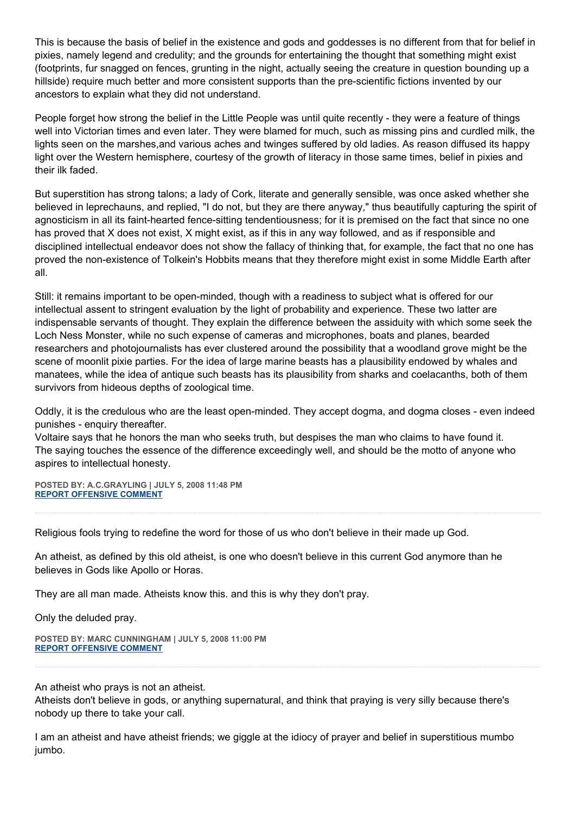This is because the basis of belief in the existence and gods and goddesses is no different from that for belief in pixies, namely legend and credulity; and the grounds for entertaining the thought that something might exist (footprints, fur snagged on fences, grunting in the night, actually seeing the creature in question bounding up a hillside) require much better and more consistent supports than the pre-scientific fictions invented by our ancestors to explain what they did not understand.

People forget how strong the belief in the Little People was until quite recently - they were a feature of things well into Victorian times and even later. They were blamed for much, such as missing pins and curdled milk, the lights seen on the marshes,and various aches and twinges suffered by old ladies. As reason diffused its happy light over the Western hemisphere, courtesy of the growth of literacy in those same times, belief in pixies and their ilk faded.

But superstition has strong talons; a lady of Cork, literate and generally sensible, was once asked whether she believed in leprechauns, and replied, "I do not, but they are there anyway," thus beautifully capturing the spirit of agnosticism in all its faint-hearted fence-sitting tendentiousness; for it is premised on the fact that since no one has proved that X does not exist, X might exist, as if this in any way followed, and as if responsible and disciplined intellectual endeavor does not show the fallacy of thinking that, for example, the fact that no one has proved the non-existence of Tolkein's Hobbits means that they therefore might exist in some Middle Earth after all.

Still: it remains important to be open-minded, though with a readiness to subject what is offered for our intellectual assent to stringent evaluation by the light of probability and experience. These two latter are indispensable servants of thought. They explain the difference between the assiduity with which some seek the Loch Ness Monster, while no such expense of cameras and microphones, boats and planes, bearded researchers and photojournalists has ever clustered around the possibility that a woodland grove might be the scene of moonlit pixie parties. For the idea of large marine beasts has a plausibility endowed by whales and manatees, while the idea of antique such beasts has its plausibility from sharks and coelacanths, both of them survivors from hideous depths of zoological time.

Oddly, it is the credulous who are the least open-minded. They accept dogma, and dogma closes - even indeed punishes - enquiry thereafter.

Voltaire says that he honors the man who seeks truth, but despises the man who claims to have found it. The saying touches the essence of the difference exceedingly well, and should be the motto of anyone who aspires to intellectual honesty.

**POSTED BY: A.C.GRAYLING | JULY 5, 2008 11:48 PM [REPORT OFFENSIVE COMMENT](mailto:blogs@washingtonpost.com?subject=On%20Faith%20Panelists%20Blog%20%20%7C%20%20A.C.Grayling%20%20%7C%20%20Atheists%20Have%20the%20Will%20to%20Believe%20%20%7C%20%204096276&body=%0D%0D%0D%0D%0D================%0D?__mode=view%26_type=comment%26id=4096276%26blog_id=618)**

Religious fools trying to redefine the word for those of us who don't believe in their made up God.

An atheist, as defined by this old atheist, is one who doesn't believe in this current God anymore than he believes in Gods like Apollo or Horas.

They are all man made. Atheists know this. and this is why they don't pray.

Only the deluded pray.

**POSTED BY: MARC CUNNINGHAM | JULY 5, 2008 11:00 PM [REPORT OFFENSIVE COMMENT](mailto:blogs@washingtonpost.com?subject=On%20Faith%20Panelists%20Blog%20%20%7C%20%20Marc%20Cunningham%20%20%7C%20%20Atheists%20Have%20the%20Will%20to%20Believe%20%20%7C%20%204095856&body=%0D%0D%0D%0D%0D================%0D?__mode=view%26_type=comment%26id=4095856%26blog_id=618)**

An atheist who prays is not an atheist.

Atheists don't believe in gods, or anything supernatural, and think that praying is very silly because there's nobody up there to take your call.

I am an atheist and have atheist friends; we giggle at the idiocy of prayer and belief in superstitious mumbo jumbo.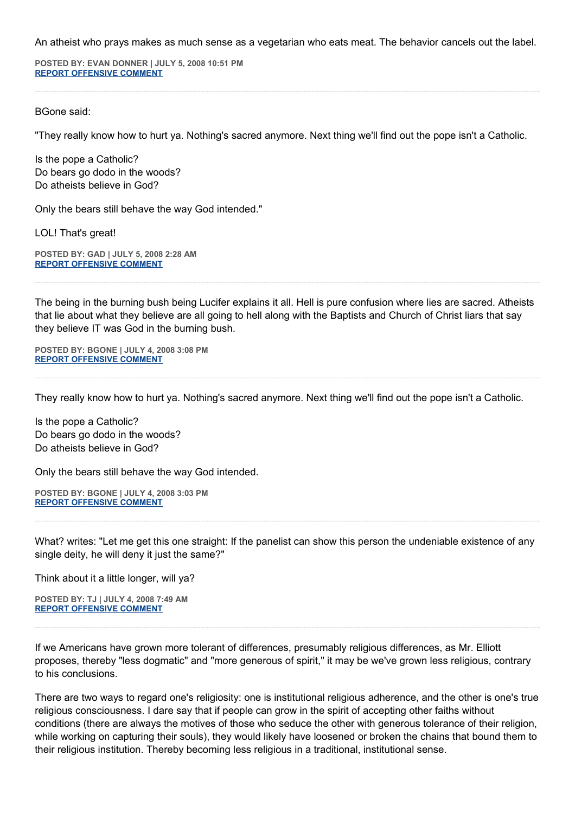An atheist who prays makes as much sense as a vegetarian who eats meat. The behavior cancels out the label.

**POSTED BY: EVAN DONNER | JULY 5, 2008 10:51 PM [REPORT OFFENSIVE COMMENT](mailto:blogs@washingtonpost.com?subject=On%20Faith%20Panelists%20Blog%20%20%7C%20%20evan%20donner%20%20%7C%20%20Atheists%20Have%20the%20Will%20to%20Believe%20%20%7C%20%204095755&body=%0D%0D%0D%0D%0D================%0D?__mode=view%26_type=comment%26id=4095755%26blog_id=618)**

## BGone said:

"They really know how to hurt ya. Nothing's sacred anymore. Next thing we'll find out the pope isn't a Catholic.

Is the pope a Catholic? Do bears go dodo in the woods? Do atheists believe in God?

Only the bears still behave the way God intended."

LOL! That's great!

**POSTED BY: GAD | JULY 5, 2008 2:28 AM [REPORT OFFENSIVE COMMENT](mailto:blogs@washingtonpost.com?subject=On%20Faith%20Panelists%20Blog%20%20%7C%20%20GAD%20%20%7C%20%20Atheists%20Have%20the%20Will%20to%20Believe%20%20%7C%20%204085092&body=%0D%0D%0D%0D%0D================%0D?__mode=view%26_type=comment%26id=4085092%26blog_id=618)**

The being in the burning bush being Lucifer explains it all. Hell is pure confusion where lies are sacred. Atheists that lie about what they believe are all going to hell along with the Baptists and Church of Christ liars that say they believe IT was God in the burning bush.

**POSTED BY: BGONE | JULY 4, 2008 3:08 PM [REPORT OFFENSIVE COMMENT](mailto:blogs@washingtonpost.com?subject=On%20Faith%20Panelists%20Blog%20%20%7C%20%20BGone%20%20%7C%20%20Atheists%20Have%20the%20Will%20to%20Believe%20%20%7C%20%204077946&body=%0D%0D%0D%0D%0D================%0D?__mode=view%26_type=comment%26id=4077946%26blog_id=618)**

They really know how to hurt ya. Nothing's sacred anymore. Next thing we'll find out the pope isn't a Catholic.

Is the pope a Catholic? Do bears go dodo in the woods? Do atheists believe in God?

Only the bears still behave the way God intended.

**POSTED BY: BGONE | JULY 4, 2008 3:03 PM [REPORT OFFENSIVE COMMENT](mailto:blogs@washingtonpost.com?subject=On%20Faith%20Panelists%20Blog%20%20%7C%20%20BGone%20%20%7C%20%20Atheists%20Have%20the%20Will%20to%20Believe%20%20%7C%20%204077892&body=%0D%0D%0D%0D%0D================%0D?__mode=view%26_type=comment%26id=4077892%26blog_id=618)**

What? writes: "Let me get this one straight: If the panelist can show this person the undeniable existence of any single deity, he will deny it just the same?"

Think about it a little longer, will ya?

**POSTED BY: TJ | JULY 4, 2008 7:49 AM [REPORT OFFENSIVE COMMENT](mailto:blogs@washingtonpost.com?subject=On%20Faith%20Panelists%20Blog%20%20%7C%20%20TJ%20%20%7C%20%20Atheists%20Have%20the%20Will%20to%20Believe%20%20%7C%20%204073457&body=%0D%0D%0D%0D%0D================%0D?__mode=view%26_type=comment%26id=4073457%26blog_id=618)**

If we Americans have grown more tolerant of differences, presumably religious differences, as Mr. Elliott proposes, thereby "less dogmatic" and "more generous of spirit," it may be we've grown less religious, contrary to his conclusions.

There are two ways to regard one's religiosity: one is institutional religious adherence, and the other is one's true religious consciousness. I dare say that if people can grow in the spirit of accepting other faiths without conditions (there are always the motives of those who seduce the other with generous tolerance of their religion, while working on capturing their souls), they would likely have loosened or broken the chains that bound them to their religious institution. Thereby becoming less religious in a traditional, institutional sense.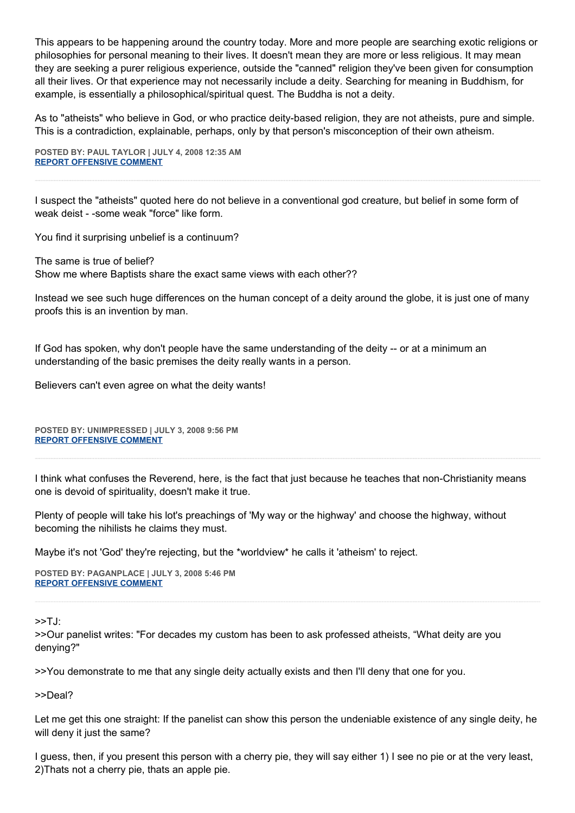This appears to be happening around the country today. More and more people are searching exotic religions or philosophies for personal meaning to their lives. It doesn't mean they are more or less religious. It may mean they are seeking a purer religious experience, outside the "canned" religion they've been given for consumption all their lives. Or that experience may not necessarily include a deity. Searching for meaning in Buddhism, for example, is essentially a philosophical/spiritual quest. The Buddha is not a deity.

As to "atheists" who believe in God, or who practice deity-based religion, they are not atheists, pure and simple. This is a contradiction, explainable, perhaps, only by that person's misconception of their own atheism.

**POSTED BY: PAUL TAYLOR | JULY 4, 2008 12:35 AM [REPORT OFFENSIVE COMMENT](mailto:blogs@washingtonpost.com?subject=On%20Faith%20Panelists%20Blog%20%20%7C%20%20paul%20taylor%20%20%20%7C%20%20Atheists%20Have%20the%20Will%20to%20Believe%20%20%7C%20%204069512&body=%0D%0D%0D%0D%0D================%0D?__mode=view%26_type=comment%26id=4069512%26blog_id=618)**

I suspect the "atheists" quoted here do not believe in a conventional god creature, but belief in some form of weak deist - -some weak "force" like form.

You find it surprising unbelief is a continuum?

The same is true of belief? Show me where Baptists share the exact same views with each other??

Instead we see such huge differences on the human concept of a deity around the globe, it is just one of many proofs this is an invention by man.

If God has spoken, why don't people have the same understanding of the deity -- or at a minimum an understanding of the basic premises the deity really wants in a person.

Believers can't even agree on what the deity wants!

**POSTED BY: UNIMPRESSED | JULY 3, 2008 9:56 PM [REPORT OFFENSIVE COMMENT](mailto:blogs@washingtonpost.com?subject=On%20Faith%20Panelists%20Blog%20%20%7C%20%20Unimpressed%20%20%7C%20%20Atheists%20Have%20the%20Will%20to%20Believe%20%20%7C%20%204067967&body=%0D%0D%0D%0D%0D================%0D?__mode=view%26_type=comment%26id=4067967%26blog_id=618)**

I think what confuses the Reverend, here, is the fact that just because he teaches that non-Christianity means one is devoid of spirituality, doesn't make it true.

Plenty of people will take his lot's preachings of 'My way or the highway' and choose the highway, without becoming the nihilists he claims they must.

Maybe it's not 'God' they're rejecting, but the \*worldview\* he calls it 'atheism' to reject.

**POSTED BY: PAGANPLACE | JULY 3, 2008 5:46 PM [REPORT OFFENSIVE COMMENT](mailto:blogs@washingtonpost.com?subject=On%20Faith%20Panelists%20Blog%20%20%7C%20%20Paganplace%20%20%7C%20%20Atheists%20Have%20the%20Will%20to%20Believe%20%20%7C%20%204065705&body=%0D%0D%0D%0D%0D================%0D?__mode=view%26_type=comment%26id=4065705%26blog_id=618)**

>>TJ:

>>Our panelist writes: "For decades my custom has been to ask professed atheists, "What deity are you denying?"

>>You demonstrate to me that any single deity actually exists and then I'll deny that one for you.

>>Deal?

Let me get this one straight: If the panelist can show this person the undeniable existence of any single deity, he will deny it just the same?

I guess, then, if you present this person with a cherry pie, they will say either 1) I see no pie or at the very least, 2)Thats not a cherry pie, thats an apple pie.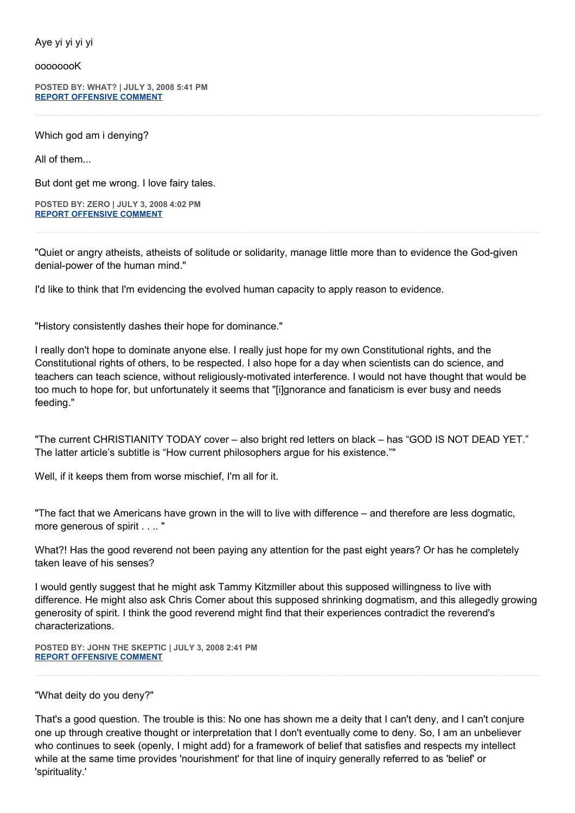Aye yi yi yi yi

oooooooK

**POSTED BY: WHAT? | JULY 3, 2008 5:41 PM [REPORT OFFENSIVE COMMENT](mailto:blogs@washingtonpost.com?subject=On%20Faith%20Panelists%20Blog%20%20%7C%20%20What?%20%20%7C%20%20Atheists%20Have%20the%20Will%20to%20Believe%20%20%7C%20%204065659&body=%0D%0D%0D%0D%0D================%0D?__mode=view%26_type=comment%26id=4065659%26blog_id=618)**

Which god am i denying?

All of them...

But dont get me wrong. I love fairy tales.

**POSTED BY: ZERO | JULY 3, 2008 4:02 PM [REPORT OFFENSIVE COMMENT](mailto:blogs@washingtonpost.com?subject=On%20Faith%20Panelists%20Blog%20%20%7C%20%20Zero%20%20%7C%20%20Atheists%20Have%20the%20Will%20to%20Believe%20%20%7C%20%204064668&body=%0D%0D%0D%0D%0D================%0D?__mode=view%26_type=comment%26id=4064668%26blog_id=618)**

"Quiet or angry atheists, atheists of solitude or solidarity, manage little more than to evidence the God-given denial-power of the human mind."

I'd like to think that I'm evidencing the evolved human capacity to apply reason to evidence.

"History consistently dashes their hope for dominance."

I really don't hope to dominate anyone else. I really just hope for my own Constitutional rights, and the Constitutional rights of others, to be respected. I also hope for a day when scientists can do science, and teachers can teach science, without religiously-motivated interference. I would not have thought that would be too much to hope for, but unfortunately it seems that "[i]gnorance and fanaticism is ever busy and needs feeding."

"The current CHRISTIANITY TODAY cover – also bright red letters on black – has "GOD IS NOT DEAD YET." The latter article's subtitle is "How current philosophers argue for his existence.""

Well, if it keeps them from worse mischief, I'm all for it.

"The fact that we Americans have grown in the will to live with difference – and therefore are less dogmatic, more generous of spirit . . .. "

What?! Has the good reverend not been paying any attention for the past eight years? Or has he completely taken leave of his senses?

I would gently suggest that he might ask Tammy Kitzmiller about this supposed willingness to live with difference. He might also ask Chris Comer about this supposed shrinking dogmatism, and this allegedly growing generosity of spirit. I think the good reverend might find that their experiences contradict the reverend's characterizations.

**POSTED BY: JOHN THE SKEPTIC | JULY 3, 2008 2:41 PM [REPORT OFFENSIVE COMMENT](mailto:blogs@washingtonpost.com?subject=On%20Faith%20Panelists%20Blog%20%20%7C%20%20John%20the%20Skeptic%20%20%7C%20%20Atheists%20Have%20the%20Will%20to%20Believe%20%20%7C%20%204063886&body=%0D%0D%0D%0D%0D================%0D?__mode=view%26_type=comment%26id=4063886%26blog_id=618)**

"What deity do you deny?"

That's a good question. The trouble is this: No one has shown me a deity that I can't deny, and I can't conjure one up through creative thought or interpretation that I don't eventually come to deny. So, I am an unbeliever who continues to seek (openly, I might add) for a framework of belief that satisfies and respects my intellect while at the same time provides 'nourishment' for that line of inquiry generally referred to as 'belief' or 'spirituality.'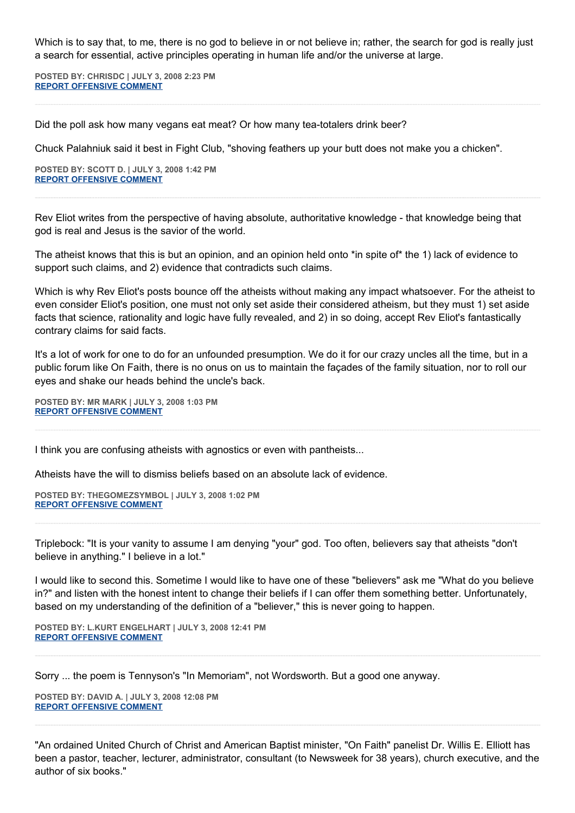Which is to say that, to me, there is no god to believe in or not believe in; rather, the search for god is really just a search for essential, active principles operating in human life and/or the universe at large.

**POSTED BY: CHRISDC | JULY 3, 2008 2:23 PM [REPORT OFFENSIVE COMMENT](mailto:blogs@washingtonpost.com?subject=On%20Faith%20Panelists%20Blog%20%20%7C%20%20ChrisDC%20%20%7C%20%20Atheists%20Have%20the%20Will%20to%20Believe%20%20%7C%20%204063768&body=%0D%0D%0D%0D%0D================%0D?__mode=view%26_type=comment%26id=4063768%26blog_id=618)**

Did the poll ask how many vegans eat meat? Or how many tea-totalers drink beer?

Chuck Palahniuk said it best in Fight Club, "shoving feathers up your butt does not make you a chicken".

**POSTED BY: SCOTT D. | JULY 3, 2008 1:42 PM [REPORT OFFENSIVE COMMENT](mailto:blogs@washingtonpost.com?subject=On%20Faith%20Panelists%20Blog%20%20%7C%20%20Scott%20D.%20%20%7C%20%20Atheists%20Have%20the%20Will%20to%20Believe%20%20%7C%20%204063365&body=%0D%0D%0D%0D%0D================%0D?__mode=view%26_type=comment%26id=4063365%26blog_id=618)**

Rev Eliot writes from the perspective of having absolute, authoritative knowledge - that knowledge being that god is real and Jesus is the savior of the world.

The atheist knows that this is but an opinion, and an opinion held onto \*in spite of\* the 1) lack of evidence to support such claims, and 2) evidence that contradicts such claims.

Which is why Rev Eliot's posts bounce off the atheists without making any impact whatsoever. For the atheist to even consider Eliot's position, one must not only set aside their considered atheism, but they must 1) set aside facts that science, rationality and logic have fully revealed, and 2) in so doing, accept Rev Eliot's fantastically contrary claims for said facts.

It's a lot of work for one to do for an unfounded presumption. We do it for our crazy uncles all the time, but in a public forum like On Faith, there is no onus on us to maintain the façades of the family situation, nor to roll our eyes and shake our heads behind the uncle's back.

**POSTED BY: MR MARK | JULY 3, 2008 1:03 PM [REPORT OFFENSIVE COMMENT](mailto:blogs@washingtonpost.com?subject=On%20Faith%20Panelists%20Blog%20%20%7C%20%20Mr%20Mark%20%20%7C%20%20Atheists%20Have%20the%20Will%20to%20Believe%20%20%7C%20%204062985&body=%0D%0D%0D%0D%0D================%0D?__mode=view%26_type=comment%26id=4062985%26blog_id=618)**

I think you are confusing atheists with agnostics or even with pantheists...

Atheists have the will to dismiss beliefs based on an absolute lack of evidence.

**POSTED BY: THEGOMEZSYMBOL | JULY 3, 2008 1:02 PM [REPORT OFFENSIVE COMMENT](mailto:blogs@washingtonpost.com?subject=On%20Faith%20Panelists%20Blog%20%20%7C%20%20thegomezsymbol%20%20%7C%20%20Atheists%20Have%20the%20Will%20to%20Believe%20%20%7C%20%204062976&body=%0D%0D%0D%0D%0D================%0D?__mode=view%26_type=comment%26id=4062976%26blog_id=618)**

Triplebock: "It is your vanity to assume I am denying "your" god. Too often, believers say that atheists "don't believe in anything." I believe in a lot."

I would like to second this. Sometime I would like to have one of these "believers" ask me "What do you believe in?" and listen with the honest intent to change their beliefs if I can offer them something better. Unfortunately, based on my understanding of the definition of a "believer," this is never going to happen.

**POSTED BY: L.KURT ENGELHART | JULY 3, 2008 12:41 PM [REPORT OFFENSIVE COMMENT](mailto:blogs@washingtonpost.com?subject=On%20Faith%20Panelists%20Blog%20%20%7C%20%20L.Kurt%20Engelhart%20%20%7C%20%20Atheists%20Have%20the%20Will%20to%20Believe%20%20%7C%20%204062784&body=%0D%0D%0D%0D%0D================%0D?__mode=view%26_type=comment%26id=4062784%26blog_id=618)**

Sorry ... the poem is Tennyson's "In Memoriam", not Wordsworth. But a good one anyway.

**POSTED BY: DAVID A. | JULY 3, 2008 12:08 PM [REPORT OFFENSIVE COMMENT](mailto:blogs@washingtonpost.com?subject=On%20Faith%20Panelists%20Blog%20%20%7C%20%20David%20A.%20%20%7C%20%20Atheists%20Have%20the%20Will%20to%20Believe%20%20%7C%20%204062416&body=%0D%0D%0D%0D%0D================%0D?__mode=view%26_type=comment%26id=4062416%26blog_id=618)**

"An ordained United Church of Christ and American Baptist minister, "On Faith" panelist Dr. Willis E. Elliott has been a pastor, teacher, lecturer, administrator, consultant (to Newsweek for 38 years), church executive, and the author of six books."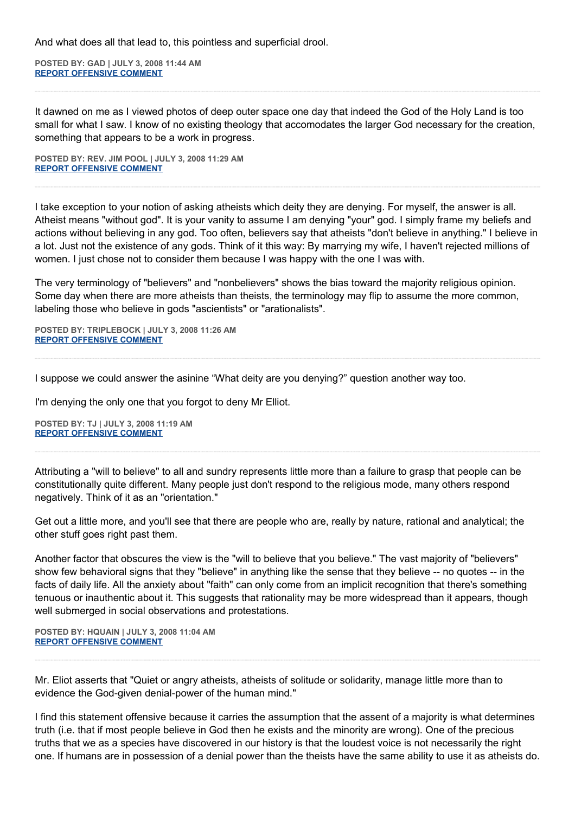And what does all that lead to, this pointless and superficial drool.

**POSTED BY: GAD | JULY 3, 2008 11:44 AM [REPORT OFFENSIVE COMMENT](mailto:blogs@washingtonpost.com?subject=On%20Faith%20Panelists%20Blog%20%20%7C%20%20GAD%20%20%7C%20%20Atheists%20Have%20the%20Will%20to%20Believe%20%20%7C%20%204062224&body=%0D%0D%0D%0D%0D================%0D?__mode=view%26_type=comment%26id=4062224%26blog_id=618)**

It dawned on me as I viewed photos of deep outer space one day that indeed the God of the Holy Land is too small for what I saw. I know of no existing theology that accomodates the larger God necessary for the creation, something that appears to be a work in progress.

**POSTED BY: REV. JIM POOL | JULY 3, 2008 11:29 AM [REPORT OFFENSIVE COMMENT](mailto:blogs@washingtonpost.com?subject=On%20Faith%20Panelists%20Blog%20%20%7C%20%20Rev.%20Jim%20Pool%20%20%7C%20%20Atheists%20Have%20the%20Will%20to%20Believe%20%20%7C%20%204062098&body=%0D%0D%0D%0D%0D================%0D?__mode=view%26_type=comment%26id=4062098%26blog_id=618)**

I take exception to your notion of asking atheists which deity they are denying. For myself, the answer is all. Atheist means "without god". It is your vanity to assume I am denying "your" god. I simply frame my beliefs and actions without believing in any god. Too often, believers say that atheists "don't believe in anything." I believe in a lot. Just not the existence of any gods. Think of it this way: By marrying my wife, I haven't rejected millions of women. I just chose not to consider them because I was happy with the one I was with.

The very terminology of "believers" and "nonbelievers" shows the bias toward the majority religious opinion. Some day when there are more atheists than theists, the terminology may flip to assume the more common, labeling those who believe in gods "ascientists" or "arationalists".

**POSTED BY: TRIPLEBOCK | JULY 3, 2008 11:26 AM [REPORT OFFENSIVE COMMENT](mailto:blogs@washingtonpost.com?subject=On%20Faith%20Panelists%20Blog%20%20%7C%20%20Triplebock%20%20%7C%20%20Atheists%20Have%20the%20Will%20to%20Believe%20%20%7C%20%204062056&body=%0D%0D%0D%0D%0D================%0D?__mode=view%26_type=comment%26id=4062056%26blog_id=618)**

I suppose we could answer the asinine "What deity are you denying?" question another way too.

I'm denying the only one that you forgot to deny Mr Elliot.

**POSTED BY: TJ | JULY 3, 2008 11:19 AM [REPORT OFFENSIVE COMMENT](mailto:blogs@washingtonpost.com?subject=On%20Faith%20Panelists%20Blog%20%20%7C%20%20TJ%20%20%7C%20%20Atheists%20Have%20the%20Will%20to%20Believe%20%20%7C%20%204061977&body=%0D%0D%0D%0D%0D================%0D?__mode=view%26_type=comment%26id=4061977%26blog_id=618)**

Attributing a "will to believe" to all and sundry represents little more than a failure to grasp that people can be constitutionally quite different. Many people just don't respond to the religious mode, many others respond negatively. Think of it as an "orientation."

Get out a little more, and you'll see that there are people who are, really by nature, rational and analytical; the other stuff goes right past them.

Another factor that obscures the view is the "will to believe that you believe." The vast majority of "believers" show few behavioral signs that they "believe" in anything like the sense that they believe -- no quotes -- in the facts of daily life. All the anxiety about "faith" can only come from an implicit recognition that there's something tenuous or inauthentic about it. This suggests that rationality may be more widespread than it appears, though well submerged in social observations and protestations.

**POSTED BY: HQUAIN | JULY 3, 2008 11:04 AM [REPORT OFFENSIVE COMMENT](mailto:blogs@washingtonpost.com?subject=On%20Faith%20Panelists%20Blog%20%20%7C%20%20hquain%20%20%7C%20%20Atheists%20Have%20the%20Will%20to%20Believe%20%20%7C%20%204061870&body=%0D%0D%0D%0D%0D================%0D?__mode=view%26_type=comment%26id=4061870%26blog_id=618)**

Mr. Eliot asserts that "Quiet or angry atheists, atheists of solitude or solidarity, manage little more than to evidence the God-given denial-power of the human mind."

I find this statement offensive because it carries the assumption that the assent of a majority is what determines truth (i.e. that if most people believe in God then he exists and the minority are wrong). One of the precious truths that we as a species have discovered in our history is that the loudest voice is not necessarily the right one. If humans are in possession of a denial power than the theists have the same ability to use it as atheists do.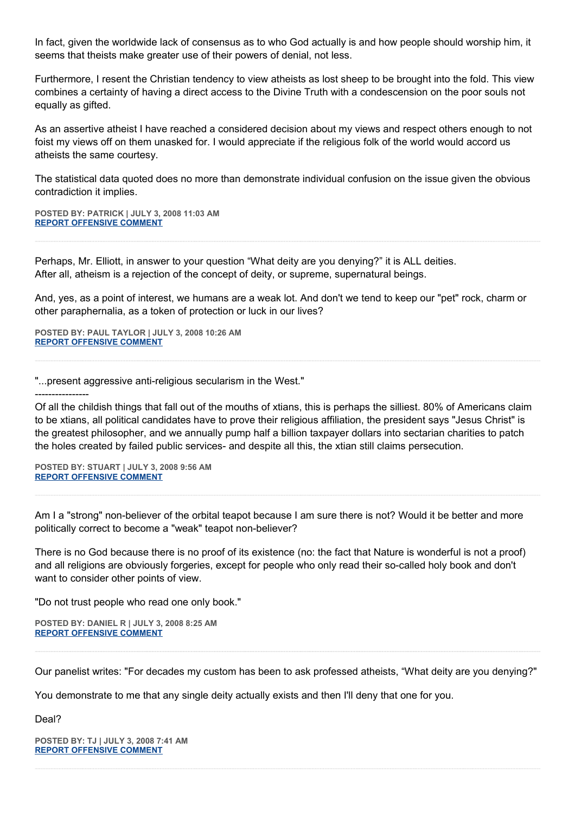In fact, given the worldwide lack of consensus as to who God actually is and how people should worship him, it seems that theists make greater use of their powers of denial, not less.

Furthermore, I resent the Christian tendency to view atheists as lost sheep to be brought into the fold. This view combines a certainty of having a direct access to the Divine Truth with a condescension on the poor souls not equally as gifted.

As an assertive atheist I have reached a considered decision about my views and respect others enough to not foist my views off on them unasked for. I would appreciate if the religious folk of the world would accord us atheists the same courtesy.

The statistical data quoted does no more than demonstrate individual confusion on the issue given the obvious contradiction it implies.

**POSTED BY: PATRICK | JULY 3, 2008 11:03 AM [REPORT OFFENSIVE COMMENT](mailto:blogs@washingtonpost.com?subject=On%20Faith%20Panelists%20Blog%20%20%7C%20%20Patrick%20%20%7C%20%20Atheists%20Have%20the%20Will%20to%20Believe%20%20%7C%20%204061862&body=%0D%0D%0D%0D%0D================%0D?__mode=view%26_type=comment%26id=4061862%26blog_id=618)**

Perhaps, Mr. Elliott, in answer to your question "What deity are you denying?" it is ALL deities. After all, atheism is a rejection of the concept of deity, or supreme, supernatural beings.

And, yes, as a point of interest, we humans are a weak lot. And don't we tend to keep our "pet" rock, charm or other paraphernalia, as a token of protection or luck in our lives?

**POSTED BY: PAUL TAYLOR | JULY 3, 2008 10:26 AM [REPORT OFFENSIVE COMMENT](mailto:blogs@washingtonpost.com?subject=On%20Faith%20Panelists%20Blog%20%20%7C%20%20paul%20taylor%20%20%7C%20%20Atheists%20Have%20the%20Will%20to%20Believe%20%20%7C%20%204061474&body=%0D%0D%0D%0D%0D================%0D?__mode=view%26_type=comment%26id=4061474%26blog_id=618)**

"...present aggressive anti-religious secularism in the West."

----------------

Of all the childish things that fall out of the mouths of xtians, this is perhaps the silliest. 80% of Americans claim to be xtians, all political candidates have to prove their religious affiliation, the president says "Jesus Christ" is the greatest philosopher, and we annually pump half a billion taxpayer dollars into sectarian charities to patch the holes created by failed public services- and despite all this, the xtian still claims persecution.

**POSTED BY: STUART | JULY 3, 2008 9:56 AM [REPORT OFFENSIVE COMMENT](mailto:blogs@washingtonpost.com?subject=On%20Faith%20Panelists%20Blog%20%20%7C%20%20Stuart%20%20%7C%20%20Atheists%20Have%20the%20Will%20to%20Believe%20%20%7C%20%204061177&body=%0D%0D%0D%0D%0D================%0D?__mode=view%26_type=comment%26id=4061177%26blog_id=618)**

Am I a "strong" non-believer of the orbital teapot because I am sure there is not? Would it be better and more politically correct to become a "weak" teapot non-believer?

There is no God because there is no proof of its existence (no: the fact that Nature is wonderful is not a proof) and all religions are obviously forgeries, except for people who only read their so-called holy book and don't want to consider other points of view.

"Do not trust people who read one only book."

**POSTED BY: DANIEL R | JULY 3, 2008 8:25 AM [REPORT OFFENSIVE COMMENT](mailto:blogs@washingtonpost.com?subject=On%20Faith%20Panelists%20Blog%20%20%7C%20%20Daniel%20R%20%20%7C%20%20Atheists%20Have%20the%20Will%20to%20Believe%20%20%7C%20%204060404&body=%0D%0D%0D%0D%0D================%0D?__mode=view%26_type=comment%26id=4060404%26blog_id=618)**

Our panelist writes: "For decades my custom has been to ask professed atheists, "What deity are you denying?"

You demonstrate to me that any single deity actually exists and then I'll deny that one for you.

Deal?

**POSTED BY: TJ | JULY 3, 2008 7:41 AM [REPORT OFFENSIVE COMMENT](mailto:blogs@washingtonpost.com?subject=On%20Faith%20Panelists%20Blog%20%20%7C%20%20TJ%20%20%7C%20%20Atheists%20Have%20the%20Will%20to%20Believe%20%20%7C%20%204060002&body=%0D%0D%0D%0D%0D================%0D?__mode=view%26_type=comment%26id=4060002%26blog_id=618)**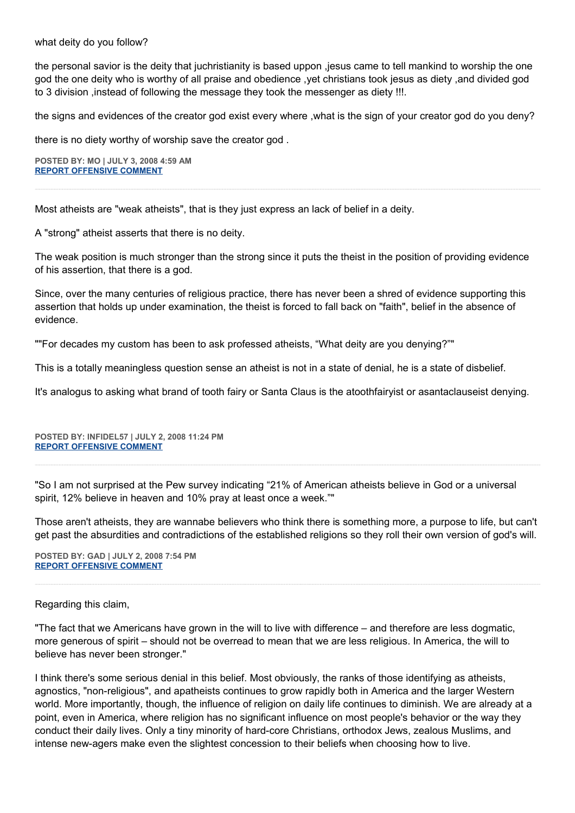what deity do you follow?

the personal savior is the deity that juchristianity is based uppon ,jesus came to tell mankind to worship the one god the one deity who is worthy of all praise and obedience ,yet christians took jesus as diety ,and divided god to 3 division ,instead of following the message they took the messenger as diety !!!.

the signs and evidences of the creator god exist every where ,what is the sign of your creator god do you deny?

there is no diety worthy of worship save the creator god .

**POSTED BY: MO | JULY 3, 2008 4:59 AM [REPORT OFFENSIVE COMMENT](mailto:blogs@washingtonpost.com?subject=On%20Faith%20Panelists%20Blog%20%20%7C%20%20mo%20%20%7C%20%20Atheists%20Have%20the%20Will%20to%20Believe%20%20%7C%20%204059075&body=%0D%0D%0D%0D%0D================%0D?__mode=view%26_type=comment%26id=4059075%26blog_id=618)**

Most atheists are "weak atheists", that is they just express an lack of belief in a deity.

A "strong" atheist asserts that there is no deity.

The weak position is much stronger than the strong since it puts the theist in the position of providing evidence of his assertion, that there is a god.

Since, over the many centuries of religious practice, there has never been a shred of evidence supporting this assertion that holds up under examination, the theist is forced to fall back on "faith", belief in the absence of evidence.

""For decades my custom has been to ask professed atheists, "What deity are you denying?""

This is a totally meaningless question sense an atheist is not in a state of denial, he is a state of disbelief.

It's analogus to asking what brand of tooth fairy or Santa Claus is the atoothfairyist or asantaclauseist denying.

**POSTED BY: INFIDEL57 | JULY 2, 2008 11:24 PM [REPORT OFFENSIVE COMMENT](mailto:blogs@washingtonpost.com?subject=On%20Faith%20Panelists%20Blog%20%20%7C%20%20infidel57%20%20%7C%20%20Atheists%20Have%20the%20Will%20to%20Believe%20%20%7C%20%204057314&body=%0D%0D%0D%0D%0D================%0D?__mode=view%26_type=comment%26id=4057314%26blog_id=618)**

"So I am not surprised at the Pew survey indicating "21% of American atheists believe in God or a universal spirit, 12% believe in heaven and 10% pray at least once a week.""

Those aren't atheists, they are wannabe believers who think there is something more, a purpose to life, but can't get past the absurdities and contradictions of the established religions so they roll their own version of god's will.

**POSTED BY: GAD | JULY 2, 2008 7:54 PM [REPORT OFFENSIVE COMMENT](mailto:blogs@washingtonpost.com?subject=On%20Faith%20Panelists%20Blog%20%20%7C%20%20GAD%20%20%7C%20%20Atheists%20Have%20the%20Will%20to%20Believe%20%20%7C%20%204056171&body=%0D%0D%0D%0D%0D================%0D?__mode=view%26_type=comment%26id=4056171%26blog_id=618)**

## Regarding this claim,

"The fact that we Americans have grown in the will to live with difference – and therefore are less dogmatic, more generous of spirit – should not be overread to mean that we are less religious. In America, the will to believe has never been stronger."

I think there's some serious denial in this belief. Most obviously, the ranks of those identifying as atheists, agnostics, "non-religious", and apatheists continues to grow rapidly both in America and the larger Western world. More importantly, though, the influence of religion on daily life continues to diminish. We are already at a point, even in America, where religion has no significant influence on most people's behavior or the way they conduct their daily lives. Only a tiny minority of hard-core Christians, orthodox Jews, zealous Muslims, and intense new-agers make even the slightest concession to their beliefs when choosing how to live.